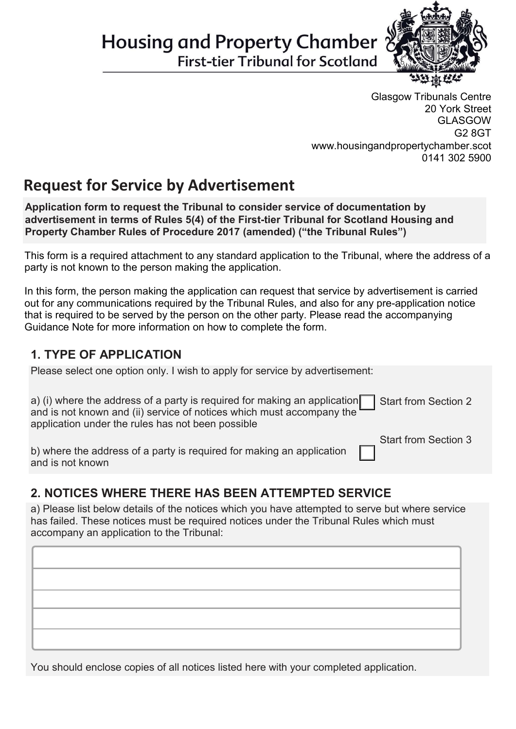# **Housing and Property Chamber**

**First-tier Tribunal for Scotland** 



Glasgow Tribunals Centre 20 York Street GLASGOW G2 8GT www.housingandpropertychamber.scot 0141 302 5900

Start from Section 3

# **Request for Service by Advertisement**

**Application form to request the Tribunal to consider service of documentation by advertisement in terms of Rules 5(4) of the First-tier Tribunal for Scotland Housing and Property Chamber Rules of Procedure 2017 (amended) ("the Tribunal Rules")**

This form is a required attachment to any standard application to the Tribunal, where the address of a party is not known to the person making the application.

In this form, the person making the application can request that service by advertisement is carried out for any communications required by the Tribunal Rules, and also for any pre-application notice that is required to be served by the person on the other party. Please read the accompanying Guidance Note for more information on how to complete the form.

### **1. TYPE OF APPLICATION**

Please select one option only. I wish to apply for service by advertisement:

| a) (i) where the address of a party is required for making an application $\Box$ Start from Section 2 |  |
|-------------------------------------------------------------------------------------------------------|--|
| and is not known and (ii) service of notices which must accompany the                                 |  |
| application under the rules has not been possible                                                     |  |

b) where the address of a party is required for making an application and is not known

## **2. NOTICES WHERE THERE HAS BEEN ATTEMPTED SERVICE**

a) Please list below details of the notices which you have attempted to serve but where service has failed. These notices must be required notices under the Tribunal Rules which must accompany an application to the Tribunal:

You should enclose copies of all notices listed here with your completed application.